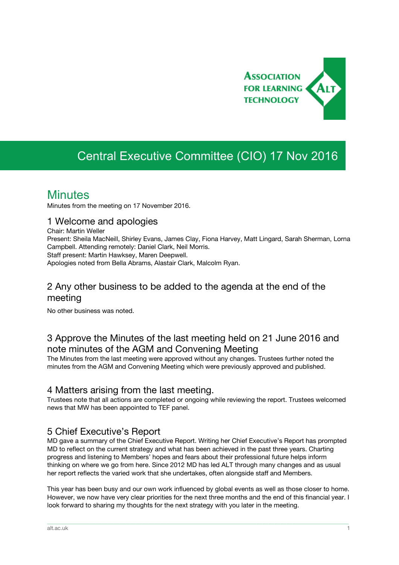

# Central Executive Committee (CIO) 17 Nov 2016

## **Minutes**

Minutes from the meeting on 17 November 2016.

#### 1 Welcome and apologies

Chair: Martin Weller

Present: Sheila MacNeill, Shirley Evans, James Clay, Fiona Harvey, Matt Lingard, Sarah Sherman, Lorna Campbell. Attending remotely: Daniel Clark, Neil Morris. Staff present: Martin Hawksey, Maren Deepwell.

Apologies noted from Bella Abrams, Alastair Clark, Malcolm Ryan.

#### 2 Any other business to be added to the agenda at the end of the meeting

No other business was noted.

## 3 Approve the Minutes of the last meeting held on 21 June 2016 and note minutes of the AGM and Convening Meeting

The Minutes from the last meeting were approved without any changes. Trustees further noted the minutes from the AGM and Convening Meeting which were previously approved and published.

#### 4 Matters arising from the last meeting.

Trustees note that all actions are completed or ongoing while reviewing the report. Trustees welcomed news that MW has been appointed to TEF panel.

#### 5 Chief Executive's Report

MD gave a summary of the Chief Executive Report. Writing her Chief Executive's Report has prompted MD to reflect on the current strategy and what has been achieved in the past three years. Charting progress and listening to Members' hopes and fears about their professional future helps inform thinking on where we go from here. Since 2012 MD has led ALT through many changes and as usual her report reflects the varied work that she undertakes, often alongside staff and Members.

This year has been busy and our own work influenced by global events as well as those closer to home. However, we now have very clear priorities for the next three months and the end of this financial year. I look forward to sharing my thoughts for the next strategy with you later in the meeting.

\_\_\_\_\_\_\_\_\_\_\_\_\_\_\_\_\_\_\_\_\_\_\_\_\_\_\_\_\_\_\_\_\_\_\_\_\_\_\_\_\_\_\_\_\_\_\_\_\_\_\_\_\_\_\_\_\_\_\_\_\_\_\_\_\_\_\_\_\_\_\_\_\_\_\_\_\_\_\_\_\_\_\_\_\_\_\_\_\_\_\_\_\_\_\_\_\_\_\_\_\_\_\_\_\_\_\_\_\_\_\_\_\_\_\_\_\_\_\_\_\_\_\_\_\_\_\_\_\_\_\_\_\_\_\_\_\_\_\_\_\_\_\_\_\_\_\_\_\_\_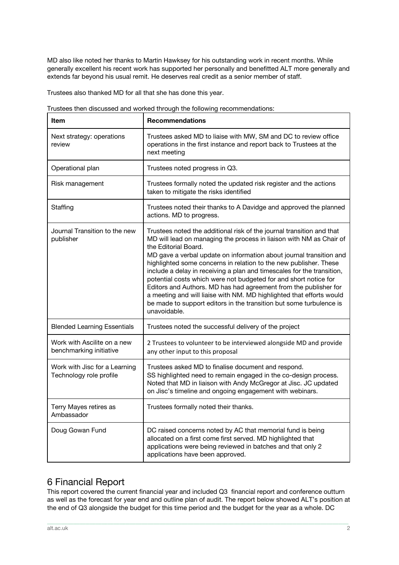MD also like noted her thanks to Martin Hawksey for his outstanding work in recent months. While generally excellent his recent work has supported her personally and benefitted ALT more generally and extends far beyond his usual remit. He deserves real credit as a senior member of staff.

Trustees also thanked MD for all that she has done this year.

| Item                                                     | <b>Recommendations</b>                                                                                                                                                                                                                                                                                                                                                                                                                                                                                                                                                                                                                                                                            |  |  |
|----------------------------------------------------------|---------------------------------------------------------------------------------------------------------------------------------------------------------------------------------------------------------------------------------------------------------------------------------------------------------------------------------------------------------------------------------------------------------------------------------------------------------------------------------------------------------------------------------------------------------------------------------------------------------------------------------------------------------------------------------------------------|--|--|
| Next strategy: operations<br>review                      | Trustees asked MD to liaise with MW, SM and DC to review office<br>operations in the first instance and report back to Trustees at the<br>next meeting                                                                                                                                                                                                                                                                                                                                                                                                                                                                                                                                            |  |  |
| Operational plan                                         | Trustees noted progress in Q3.                                                                                                                                                                                                                                                                                                                                                                                                                                                                                                                                                                                                                                                                    |  |  |
| Risk management                                          | Trustees formally noted the updated risk register and the actions<br>taken to mitigate the risks identified                                                                                                                                                                                                                                                                                                                                                                                                                                                                                                                                                                                       |  |  |
| Staffing                                                 | Trustees noted their thanks to A Davidge and approved the planned<br>actions. MD to progress.                                                                                                                                                                                                                                                                                                                                                                                                                                                                                                                                                                                                     |  |  |
| Journal Transition to the new<br>publisher               | Trustees noted the additional risk of the journal transition and that<br>MD will lead on managing the process in liaison with NM as Chair of<br>the Editorial Board.<br>MD gave a verbal update on information about journal transition and<br>highlighted some concerns in relation to the new publisher. These<br>include a delay in receiving a plan and timescales for the transition,<br>potential costs which were not budgeted for and short notice for<br>Editors and Authors. MD has had agreement from the publisher for<br>a meeting and will liaise with NM. MD highlighted that efforts would<br>be made to support editors in the transition but some turbulence is<br>unavoidable. |  |  |
| <b>Blended Learning Essentials</b>                       | Trustees noted the successful delivery of the project                                                                                                                                                                                                                                                                                                                                                                                                                                                                                                                                                                                                                                             |  |  |
| Work with Ascilite on a new<br>benchmarking initiative   | 2 Trustees to volunteer to be interviewed alongside MD and provide<br>any other input to this proposal                                                                                                                                                                                                                                                                                                                                                                                                                                                                                                                                                                                            |  |  |
| Work with Jisc for a Learning<br>Technology role profile | Trustees asked MD to finalise document and respond.<br>SS highlighted need to remain engaged in the co-design process.<br>Noted that MD in liaison with Andy McGregor at Jisc. JC updated<br>on Jisc's timeline and ongoing engagement with webinars.                                                                                                                                                                                                                                                                                                                                                                                                                                             |  |  |
| Terry Mayes retires as<br>Ambassador                     | Trustees formally noted their thanks.                                                                                                                                                                                                                                                                                                                                                                                                                                                                                                                                                                                                                                                             |  |  |
| Doug Gowan Fund                                          | DC raised concerns noted by AC that memorial fund is being<br>allocated on a first come first served. MD highlighted that<br>applications were being reviewed in batches and that only 2<br>applications have been approved.                                                                                                                                                                                                                                                                                                                                                                                                                                                                      |  |  |

|  |  | Trustees then discussed and worked through the following recommendations: |
|--|--|---------------------------------------------------------------------------|
|  |  |                                                                           |
|  |  |                                                                           |

## 6 Financial Report

This report covered the current financial year and included Q3 financial report and conference outturn as well as the forecast for year end and outline plan of audit. The report below showed ALT's position at the end of Q3 alongside the budget for this time period and the budget for the year as a whole. DC

\_\_\_\_\_\_\_\_\_\_\_\_\_\_\_\_\_\_\_\_\_\_\_\_\_\_\_\_\_\_\_\_\_\_\_\_\_\_\_\_\_\_\_\_\_\_\_\_\_\_\_\_\_\_\_\_\_\_\_\_\_\_\_\_\_\_\_\_\_\_\_\_\_\_\_\_\_\_\_\_\_\_\_\_\_\_\_\_\_\_\_\_\_\_\_\_\_\_\_\_\_\_\_\_\_\_\_\_\_\_\_\_\_\_\_\_\_\_\_\_\_\_\_\_\_\_\_\_\_\_\_\_\_\_\_\_\_\_\_\_\_\_\_\_\_\_\_\_\_\_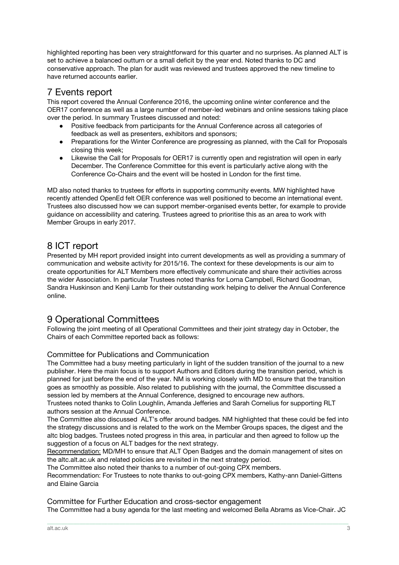highlighted reporting has been very straightforward for this quarter and no surprises. As planned ALT is set to achieve a balanced outturn or a small deficit by the year end. Noted thanks to DC and conservative approach. The plan for audit was reviewed and trustees approved the new timeline to have returned accounts earlier.

#### 7 Events report

This report covered the Annual Conference 2016, the upcoming online winter conference and the OER17 conference as well as a large number of member-led webinars and online sessions taking place over the period. In summary Trustees discussed and noted:

- Positive feedback from participants for the Annual Conference across all categories of feedback as well as presenters, exhibitors and sponsors;
- Preparations for the Winter Conference are progressing as planned, with the Call for Proposals closing this week;
- Likewise the Call for Proposals for OER17 is currently open and registration will open in early December. The Conference Committee for this event is particularly active along with the Conference Co-Chairs and the event will be hosted in London for the first time.

MD also noted thanks to trustees for efforts in supporting community events. MW highlighted have recently attended OpenEd felt OER conference was well positioned to become an international event. Trustees also discussed how we can support member-organised events better, for example to provide guidance on accessibility and catering. Trustees agreed to prioritise this as an area to work with Member Groups in early 2017.

## 8 ICT report

Presented by MH report provided insight into current developments as well as providing a summary of communication and website activity for 2015/16. The context for these developments is our aim to create opportunities for ALT Members more effectively communicate and share their activities across the wider Association. In particular Trustees noted thanks for Lorna Campbell, Richard Goodman, Sandra Huskinson and Kenji Lamb for their outstanding work helping to deliver the Annual Conference online.

## 9 Operational Committees

Following the joint meeting of all Operational Committees and their joint strategy day in October, the Chairs of each Committee reported back as follows:

#### Committee for Publications and Communication

The Committee had a busy meeting particularly in light of the sudden transition of the journal to a new publisher. Here the main focus is to support Authors and Editors during the transition period, which is planned for just before the end of the year. NM is working closely with MD to ensure that the transition goes as smoothly as possible. Also related to publishing with the journal, the Committee discussed a session led by members at the Annual Conference, designed to encourage new authors.

Trustees noted thanks to Colin Loughlin, Amanda Jefferies and Sarah Cornelius for supporting RLT authors session at the Annual Conference.

The Committee also discussed ALT's offer around badges. NM highlighted that these could be fed into the strategy discussions and is related to the work on the Member Groups spaces, the digest and the altc blog badges. Trustees noted progress in this area, in particular and then agreed to follow up the suggestion of a focus on ALT badges for the next strategy.

Recommendation: MD/MH to ensure that ALT Open Badges and the domain management of sites on the altc.alt.ac.uk and related policies are revisited in the next strategy period.

The Committee also noted their thanks to a number of out-going CPX members.

Recommendation: For Trustees to note thanks to out-going CPX members, Kathy-ann Daniel-Gittens and Elaine Garcia

Committee for Further Education and cross-sector engagement The Committee had a busy agenda for the last meeting and welcomed Bella Abrams as Vice-Chair. JC

\_\_\_\_\_\_\_\_\_\_\_\_\_\_\_\_\_\_\_\_\_\_\_\_\_\_\_\_\_\_\_\_\_\_\_\_\_\_\_\_\_\_\_\_\_\_\_\_\_\_\_\_\_\_\_\_\_\_\_\_\_\_\_\_\_\_\_\_\_\_\_\_\_\_\_\_\_\_\_\_\_\_\_\_\_\_\_\_\_\_\_\_\_\_\_\_\_\_\_\_\_\_\_\_\_\_\_\_\_\_\_\_\_\_\_\_\_\_\_\_\_\_\_\_\_\_\_\_\_\_\_\_\_\_\_\_\_\_\_\_\_\_\_\_\_\_\_\_\_\_